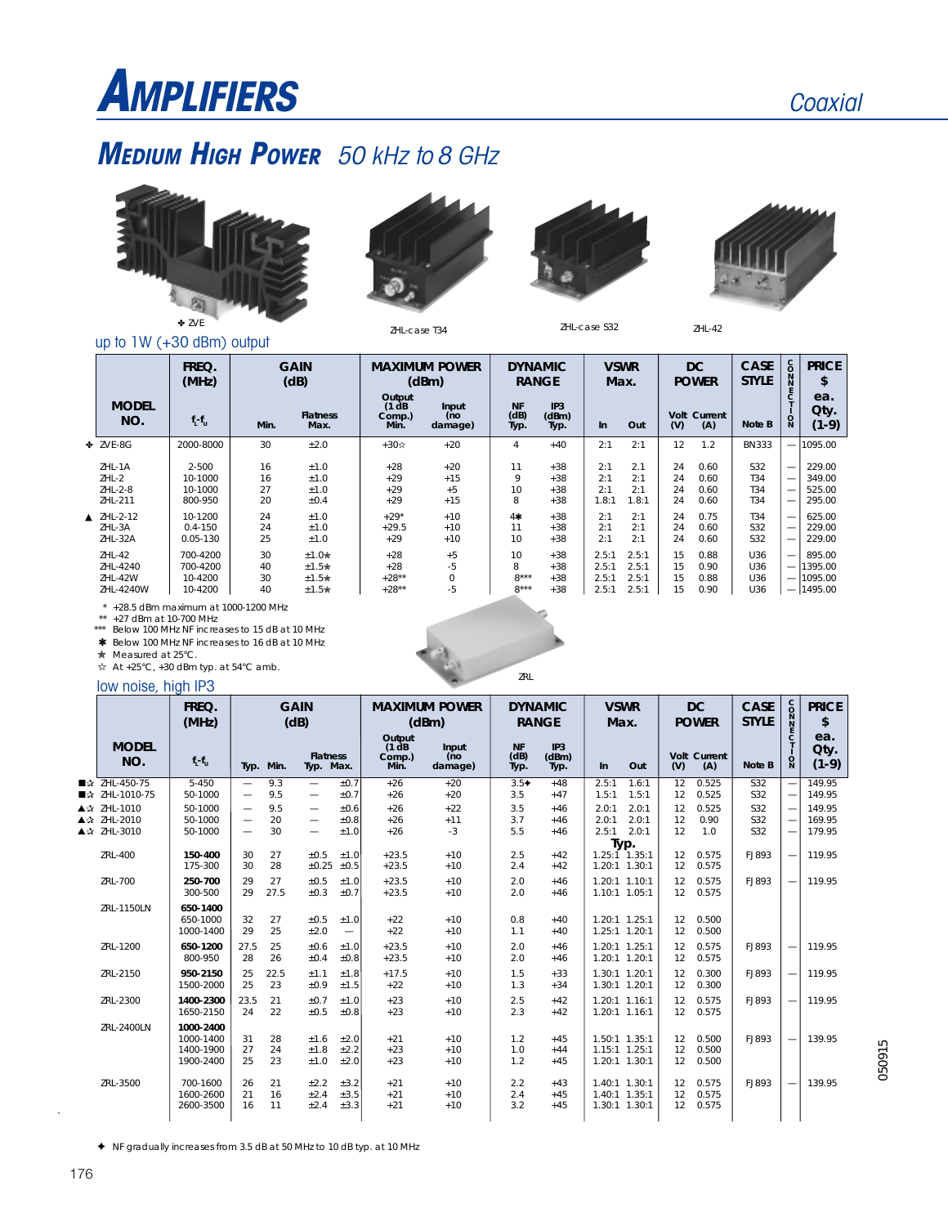# **AMPLIFIERS**

### **MEDIUM HIGH POWER** 50 kHz to 8 GHz



up to 1W (+30 dBm) output







ZHL-case S32

**GAIN (dB) MAXIMUM POWER (dBm) f L -fU DC POWER FREQ. (MHz) MODEL NO. C C C C T I O N CASE STYLE Qty. (1-9) PRICE \$ ea. Note B VSWR Max. DYNAMIC RANGE Input (no damage) Output (1 dB Comp.) Min. Min. IP3 (dBm) Typ. In Out Volt (V) Current (A) Flatness Max. NF (dB) Typ.** ZVE-8G 2000-8000 30 ±2.0 +30 +20 4 +40 2:1 2:1 12 1.2 BN333 — 1095.00 ZHL-1A 2-500 16 ±1.0 +28 +20 11 +38 2:1 2.1 24 0.60 S32 — 229.00 ZHL-2 10-1000 16 ±1.0 +29 +15 9 +38 2:1 2:1 24 0.60 T34 — 349.00 ZHL-2-8 10-1000 27 ±1.0 +29 +5 10 +38 2:1 2:1 24 0.60 T34 — 525.00 ZHL-211 800-950 20 ±0.4 +29 +15 8 +38 1.8:1 1.8:1 24 0.60 T34 — 295.00 ▲ ZHL-2-12 10-1200 24 ±1.0 +29\* +10 4- $\star$  +38 2:1 2:1 24 0.75  $\mid$  T34  $\mid$   $-$  625.00 ZHL-3A 0.4-150 24 ±1.0 +29.5 +10 11 +38 2:1 2:1 24 0.60 S32 — 229.00 ZHL-32A 0.05-130 25 ±1.0 +29 +10 10 +38 2:1 2:1 24 0.60 S32 — 229.00 ZHL-42 | 700-4200 | 30 ±1.0★ | +28 +5 | 10 +38 | 2.5:1 | 15 0.88 | U36 |—| 895.00 ZHL-4240 700-4200 40 ±1.5 +28 -5 8 +38 2.5:1 2.5:1 15 0.90 U36 — 1395.00 ZHL-42W | 10-4200 | 30 ±1.5★ | +28\*\* 0 | 8\*\*\* +38 | 2.5:1 | 15 0.88 | U36 |—|1095.00 ZHL-4240W | 10-4200 | 40 ±1.5★ | +28\*\* -5 | 8\*\*\* +38 | 2.5:1 2.5:1 | 15 0.90 | U36 |—|1495.00

 $*$  +28.5 dBm maximum at 1000-1200 MHz

\*\* +27 dBm at 10-700 MHz

\*\*\* Below 100 MHz NF increases to 15 dB at 10 MHz \* Below 100 MHz NF increases to 16 dB at 10 MHz

Measured at 25°C.

 $\overleftrightarrow{\mathbf{x}}$  At +25°C, +30 dBm typ. at 54°C amb.

### low noise, high IP3 zRL

|                                           | FREQ.<br>(MHz)                                   | <b>GAIN</b><br>(dB)                                                              |                 |                                                                    | <b>MAXIMUM POWER</b><br>(dBm) |                                    | <b>DYNAMIC</b><br><b>RANGE</b> |                           | <b>VSWR</b><br>Max.     |                                                 | <b>DC</b><br><b>POWER</b> |                | <b>CASE</b><br><b>STYLE</b> | 2200                     | <b>PRICE</b><br>\$ |                            |
|-------------------------------------------|--------------------------------------------------|----------------------------------------------------------------------------------|-----------------|--------------------------------------------------------------------|-------------------------------|------------------------------------|--------------------------------|---------------------------|-------------------------|-------------------------------------------------|---------------------------|----------------|-----------------------------|--------------------------|--------------------|----------------------------|
| <b>MODEL</b><br>NO.                       | $f_l - f_u$                                      |                                                                                  | Typ. Min.       | <b>Flatness</b><br>Typ. Max.                                       |                               | Output<br>(1 dB)<br>Comp.)<br>Min. | Input<br>(no<br>damage)        | <b>NF</b><br>(dB)<br>Typ. | IP3<br>(dBm)<br>Typ.    | $\ln$                                           | Out                       | (V)            | Volt Current<br>(A)         | Note B                   | $\Omega$           | ea.<br>Qty.<br>$(1-9)$     |
| ■☆ ZHL-450-75<br>■☆ ZHL-1010-75           | $5 - 450$<br>50-1000                             | $\overline{\phantom{0}}$<br>$\overline{\phantom{0}}$                             | 9.3<br>9.5      | $\overline{\phantom{0}}$<br>$\qquad \qquad -$                      | ±0.7<br>±0.7                  | $+26$<br>$+26$                     | $+20$<br>$+20$                 | $3.5+$<br>3.5             | $+48$<br>$+47$          | 2.5:1<br>1.5:1                                  | 1.6:1<br>1.5:1            | 12<br>12       | 0.525<br>0.525              | <b>S32</b><br>S32        |                    | 149.95<br>149.95           |
| ▲☆ ZHL-1010<br>▲☆ ZHL-2010<br>▲☆ ZHL-3010 | 50-1000<br>50-1000<br>50-1000                    | $\overline{\phantom{0}}$<br>$\overline{\phantom{0}}$<br>$\overline{\phantom{0}}$ | 9.5<br>20<br>30 | $\qquad \qquad -$<br>$\qquad \qquad -$<br>$\overline{\phantom{0}}$ | ±0.6<br>$\pm 0.8$<br>±1.0     | $+26$<br>$+26$<br>$+26$            | $+22$<br>$+11$<br>$-3$         | 3.5<br>3.7<br>5.5         | $+46$<br>$+46$<br>$+46$ | 2.0:1<br>2.0:1<br>$2.5:1$ $2.0:1$               | 2.0:1<br>2.0:1            | 12<br>12<br>12 | 0.525<br>0.90<br>1.0        | S32<br>S32<br><b>S32</b> |                    | 149.95<br>169.95<br>179.95 |
| ZRL-400                                   | 150-400<br>175-300                               | 30<br>30                                                                         | 27<br>28        | ±0.5<br>±0.25                                                      | ±1.0<br>±0.5                  | $+23.5$<br>$+23.5$                 | $+10$<br>$+10$                 | 2.5<br>2.4                | $+42$<br>$+42$          | Typ.<br>$1.25:1$ 1.35:1<br>1.20:1 1.30:1        |                           | 12<br>12       | 0.575<br>0.575              | FJ893                    |                    | 119.95                     |
| ZRL-700                                   | 250-700<br>300-500                               | 29<br>29                                                                         | 27<br>27.5      | $\pm 0.5$<br>±0.3                                                  | ±1.0<br>±0.7                  | $+23.5$<br>$+23.5$                 | $+10$<br>$+10$                 | 2.0<br>2.0                | $+46$<br>$+46$          | 1.20:1 1.10:1<br>1.10:1 1.05:1                  |                           | 12<br>12       | 0.575<br>0.575              | FJ893                    |                    | 119.95                     |
| ZRL-1150LN                                | 650-1400<br>650-1000<br>1000-1400                | 32<br>29                                                                         | 27<br>25        | ±0.5<br>±2.0                                                       | ±1.0<br>$\qquad \qquad -$     | $+22$<br>$+22$                     | $+10$<br>$+10$                 | 0.8<br>1.1                | $+40$<br>$+40$          | 1.20:1 1.25:1<br>1.25:1 1.20:1                  |                           | 12<br>12       | 0.500<br>0.500              |                          |                    |                            |
| ZRL-1200                                  | 650-1200<br>800-950                              | 27.5<br>28                                                                       | 25<br>26        | ±0.6<br>±0.4                                                       | ±1.0<br>±0.8                  | $+23.5$<br>$+23.5$                 | $+10$<br>$+10$                 | 2.0<br>2.0                | $+46$<br>$+46$          | 1.20:1 1.25:1<br>1.20:1 1.20:1                  |                           | 12<br>12       | 0.575<br>0.575              | FJ893                    |                    | 119.95                     |
| ZRL-2150                                  | 950-2150<br>1500-2000                            | 25<br>25                                                                         | 22.5<br>23      | ±1.1<br>±0.9                                                       | ±1.8<br>$\pm 1.5$             | $+17.5$<br>$+22$                   | $+10$<br>$+10$                 | 1.5<br>1.3                | $+33$<br>$+34$          | 1.30:1 1.20:1<br>1.30:1 1.20:1                  |                           | 12<br>12       | 0.300<br>0.300              | FJ893                    |                    | 119.95                     |
| ZRL-2300                                  | 1400-2300<br>1650-2150                           | 23.5<br>24                                                                       | 21<br>22        | $\pm 0.7$<br>±0.5                                                  | ±1.0<br>±0.8                  | $+23$<br>$+23$                     | $+10$<br>$+10$                 | 2.5<br>2.3                | $+42$<br>$+42$          | $1.20:1$ $1.16:1$<br>1.20:1 1.16:1              |                           | 12<br>12       | 0.575<br>0.575              | FJ893                    |                    | 119.95                     |
| ZRL-2400LN                                | 1000-2400<br>1000-1400<br>1400-1900<br>1900-2400 | 31<br>27<br>25                                                                   | 28<br>24<br>23  | ±1.6<br>$\pm 1.8$<br>$\pm 1.0$                                     | ±2.0<br>±2.2<br>±2.0          | $+21$<br>$+23$<br>$+23$            | $+10$<br>$+10$<br>$+10$        | 1.2<br>1.0<br>1.2         | $+45$<br>$+44$<br>$+45$ | 1.50:1 1.35:1<br>1.15:1 1.25:1<br>1.20:1 1.30:1 |                           | 12<br>12<br>12 | 0.500<br>0.500<br>0.500     | FJ893                    |                    | 139.95                     |
| ZRL-3500                                  | 700-1600<br>1600-2600<br>2600-3500               | 26<br>21<br>16                                                                   | 21<br>16<br>11  | ±2.2<br>±2.4<br>±2.4                                               | ±3.2<br>$\pm 3.5$<br>±3.3     | $+21$<br>$+21$<br>$+21$            | $+10$<br>$+10$<br>$+10$        | 2.2<br>2.4<br>3.2         | $+43$<br>$+45$<br>$+45$ | 1.40:1 1.30:1<br>1.40:1 1.35:1<br>1.30:1 1.30:1 |                           | 12<br>12<br>12 | 0.575<br>0.575<br>0.575     | FJ893                    |                    | 139.95                     |

NF gradually increases from 3.5 dB at 50 MHz to 10 dB typ. at 10 MHz

 $\hat{\mathcal{A}}$ 

050915